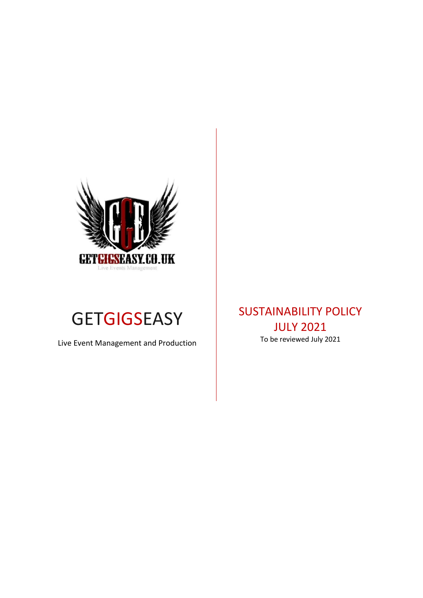



Live Event Management and Production

SUSTAINABILITY POLICY JULY 2021 To be reviewed July 2021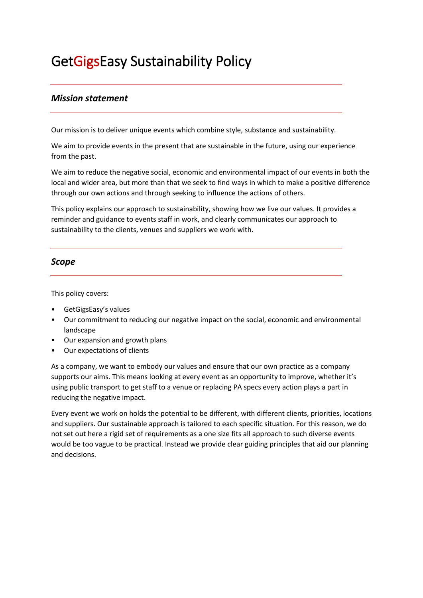# GetGigsEasy Sustainability Policy

## *Mission statement*

Our mission is to deliver unique events which combine style, substance and sustainability.

We aim to provide events in the present that are sustainable in the future, using our experience from the past.

We aim to reduce the negative social, economic and environmental impact of our events in both the local and wider area, but more than that we seek to find ways in which to make a positive difference through our own actions and through seeking to influence the actions of others.

This policy explains our approach to sustainability, showing how we live our values. It provides a reminder and guidance to events staff in work, and clearly communicates our approach to sustainability to the clients, venues and suppliers we work with.

### *Scope*

This policy covers:

- GetGigsEasy's values
- Our commitment to reducing our negative impact on the social, economic and environmental landscape
- Our expansion and growth plans
- Our expectations of clients

As a company, we want to embody our values and ensure that our own practice as a company supports our aims. This means looking at every event as an opportunity to improve, whether it's using public transport to get staff to a venue or replacing PA specs every action plays a part in reducing the negative impact.

Every event we work on holds the potential to be different, with different clients, priorities, locations and suppliers. Our sustainable approach is tailored to each specific situation. For this reason, we do not set out here a rigid set of requirements as a one size fits all approach to such diverse events would be too vague to be practical. Instead we provide clear guiding principles that aid our planning and decisions.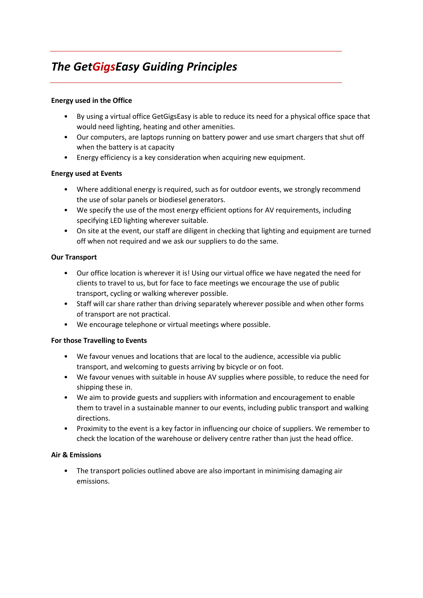# *The GetGigsEasy Guiding Principles*

#### **Energy used in the Office**

- By using a virtual office GetGigsEasy is able to reduce its need for a physical office space that would need lighting, heating and other amenities.
- Our computers, are laptops running on battery power and use smart chargers that shut off when the battery is at capacity
- Energy efficiency is a key consideration when acquiring new equipment.

#### **Energy used at Events**

- Where additional energy is required, such as for outdoor events, we strongly recommend the use of solar panels or biodiesel generators.
- We specify the use of the most energy efficient options for AV requirements, including specifying LED lighting wherever suitable.
- On site at the event, our staff are diligent in checking that lighting and equipment are turned off when not required and we ask our suppliers to do the same.

#### **Our Transport**

- Our office location is wherever it is! Using our virtual office we have negated the need for clients to travel to us, but for face to face meetings we encourage the use of public transport, cycling or walking wherever possible.
- Staff will car share rather than driving separately wherever possible and when other forms of transport are not practical.
- We encourage telephone or virtual meetings where possible.

#### **For those Travelling to Events**

- We favour venues and locations that are local to the audience, accessible via public transport, and welcoming to guests arriving by bicycle or on foot.
- We favour venues with suitable in house AV supplies where possible, to reduce the need for shipping these in.
- We aim to provide guests and suppliers with information and encouragement to enable them to travel in a sustainable manner to our events, including public transport and walking directions.
- Proximity to the event is a key factor in influencing our choice of suppliers. We remember to check the location of the warehouse or delivery centre rather than just the head office.

#### **Air & Emissions**

• The transport policies outlined above are also important in minimising damaging air emissions.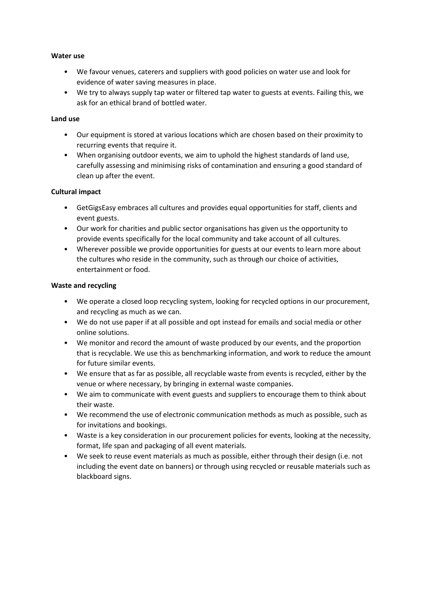#### **Water use**

- We favour venues, caterers and suppliers with good policies on water use and look for evidence of water saving measures in place.
- We try to always supply tap water or filtered tap water to guests at events. Failing this, we ask for an ethical brand of bottled water.

#### **Land use**

- Our equipment is stored at various locations which are chosen based on their proximity to recurring events that require it.
- When organising outdoor events, we aim to uphold the highest standards of land use, carefully assessing and minimising risks of contamination and ensuring a good standard of clean up after the event.

#### **Cultural impact**

- GetGigsEasy embraces all cultures and provides equal opportunities for staff, clients and event guests.
- Our work for charities and public sector organisations has given us the opportunity to provide events specifically for the local community and take account of all cultures.
- Wherever possible we provide opportunities for guests at our events to learn more about the cultures who reside in the community, such as through our choice of activities, entertainment or food.

#### **Waste and recycling**

- We operate a closed loop recycling system, looking for recycled options in our procurement, and recycling as much as we can.
- We do not use paper if at all possible and opt instead for emails and social media or other online solutions.
- We monitor and record the amount of waste produced by our events, and the proportion that is recyclable. We use this as benchmarking information, and work to reduce the amount for future similar events.
- We ensure that as far as possible, all recyclable waste from events is recycled, either by the venue or where necessary, by bringing in external waste companies.
- We aim to communicate with event guests and suppliers to encourage them to think about their waste.
- We recommend the use of electronic communication methods as much as possible, such as for invitations and bookings.
- Waste is a key consideration in our procurement policies for events, looking at the necessity, format, life span and packaging of all event materials.
- We seek to reuse event materials as much as possible, either through their design (i.e. not including the event date on banners) or through using recycled or reusable materials such as blackboard signs.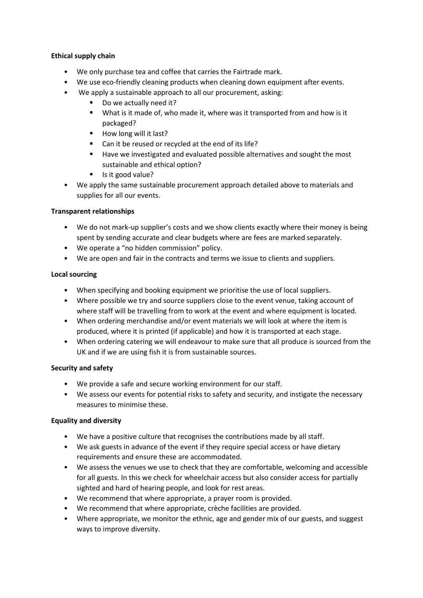#### **Ethical supply chain**

- We only purchase tea and coffee that carries the Fairtrade mark.
- We use eco-friendly cleaning products when cleaning down equipment after events.
- We apply a sustainable approach to all our procurement, asking:
	- Do we actually need it?
	- What is it made of, who made it, where was it transported from and how is it packaged?
	- $\blacksquare$  How long will it last?
	- Can it be reused or recycled at the end of its life?
	- Have we investigated and evaluated possible alternatives and sought the most sustainable and ethical option?
	- Is it good value?
- We apply the same sustainable procurement approach detailed above to materials and supplies for all our events.

#### **Transparent relationships**

- We do not mark-up supplier's costs and we show clients exactly where their money is being spent by sending accurate and clear budgets where are fees are marked separately.
- We operate a "no hidden commission" policy.
- We are open and fair in the contracts and terms we issue to clients and suppliers.

#### **Local sourcing**

- When specifying and booking equipment we prioritise the use of local suppliers.
- Where possible we try and source suppliers close to the event venue, taking account of where staff will be travelling from to work at the event and where equipment is located.
- When ordering merchandise and/or event materials we will look at where the item is produced, where it is printed (if applicable) and how it is transported at each stage.
- When ordering catering we will endeavour to make sure that all produce is sourced from the UK and if we are using fish it is from sustainable sources.

#### **Security and safety**

- We provide a safe and secure working environment for our staff.
- We assess our events for potential risks to safety and security, and instigate the necessary measures to minimise these.

#### **Equality and diversity**

- We have a positive culture that recognises the contributions made by all staff.
- We ask guests in advance of the event if they require special access or have dietary requirements and ensure these are accommodated.
- We assess the venues we use to check that they are comfortable, welcoming and accessible for all guests. In this we check for wheelchair access but also consider access for partially sighted and hard of hearing people, and look for rest areas.
- We recommend that where appropriate, a prayer room is provided.
- We recommend that where appropriate, crèche facilities are provided.
- Where appropriate, we monitor the ethnic, age and gender mix of our guests, and suggest ways to improve diversity.